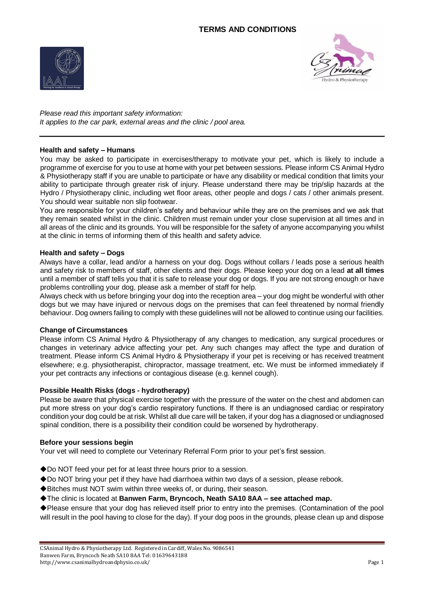



*Please read this important safety information: It applies to the car park, external areas and the clinic / pool area.* 

# **Health and safety – Humans**

You may be asked to participate in exercises/therapy to motivate your pet, which is likely to include a programme of exercise for you to use at home with your pet between sessions. Please inform CS Animal Hydro & Physiotherapy staff if you are unable to participate or have any disability or medical condition that limits your ability to participate through greater risk of injury. Please understand there may be trip/slip hazards at the Hydro / Physiotherapy clinic, including wet floor areas, other people and dogs / cats / other animals present. You should wear suitable non slip footwear.

You are responsible for your children's safety and behaviour while they are on the premises and we ask that they remain seated whilst in the clinic. Children must remain under your close supervision at all times and in all areas of the clinic and its grounds. You will be responsible for the safety of anyone accompanying you whilst at the clinic in terms of informing them of this health and safety advice.

## **Health and safety – Dogs**

Always have a collar, lead and/or a harness on your dog. Dogs without collars / leads pose a serious health and safety risk to members of staff, other clients and their dogs. Please keep your dog on a lead **at all times** until a member of staff tells you that it is safe to release your dog or dogs. If you are not strong enough or have problems controlling your dog, please ask a member of staff for help.

Always check with us before bringing your dog into the reception area – your dog might be wonderful with other dogs but we may have injured or nervous dogs on the premises that can feel threatened by normal friendly behaviour. Dog owners failing to comply with these guidelines will not be allowed to continue using our facilities.

## **Change of Circumstances**

Please inform CS Animal Hydro & Physiotherapy of any changes to medication, any surgical procedures or changes in veterinary advice affecting your pet. Any such changes may affect the type and duration of treatment. Please inform CS Animal Hydro & Physiotherapy if your pet is receiving or has received treatment elsewhere; e.g. physiotherapist, chiropractor, massage treatment, etc. We must be informed immediately if your pet contracts any infections or contagious disease (e.g. kennel cough).

## **Possible Health Risks (dogs - hydrotherapy)**

Please be aware that physical exercise together with the pressure of the water on the chest and abdomen can put more stress on your dog's cardio respiratory functions. If there is an undiagnosed cardiac or respiratory condition your dog could be at risk. Whilst all due care will be taken, if your dog has a diagnosed or undiagnosed spinal condition, there is a possibility their condition could be worsened by hydrotherapy.

## **Before your sessions begin**

Your vet will need to complete our Veterinary Referral Form prior to your pet's first session.

- ◆Do NOT feed your pet for at least three hours prior to a session.
- ◆Do NOT bring your pet if they have had diarrhoea within two days of a session, please rebook.
- ◆Bitches must NOT swim within three weeks of, or during, their season.
- ◆The clinic is located at **Banwen Farm, Bryncoch, Neath SA10 8AA – see attached map.**

◆Please ensure that your dog has relieved itself prior to entry into the premises. (Contamination of the pool will result in the pool having to close for the day). If your dog poos in the grounds, please clean up and dispose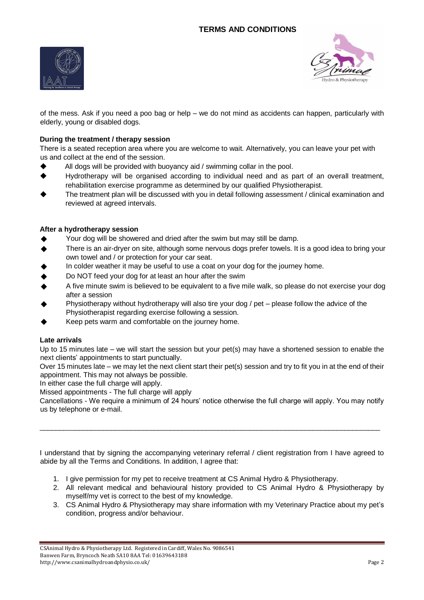



of the mess. Ask if you need a poo bag or help – we do not mind as accidents can happen, particularly with elderly, young or disabled dogs.

# **During the treatment / therapy session**

There is a seated reception area where you are welcome to wait. Alternatively, you can leave your pet with us and collect at the end of the session.

- ◆ All dogs will be provided with buoyancy aid / swimming collar in the pool.
- ◆ Hydrotherapy will be organised according to individual need and as part of an overall treatment, rehabilitation exercise programme as determined by our qualified Physiotherapist.
- The treatment plan will be discussed with you in detail following assessment / clinical examination and reviewed at agreed intervals.

# **After a hydrotherapy session**

- Your dog will be showered and dried after the swim but may still be damp.
- ◆ There is an air-dryer on site, although some nervous dogs prefer towels. It is a good idea to bring your own towel and / or protection for your car seat.
- In colder weather it may be useful to use a coat on your dog for the journey home.
- Do NOT feed your dog for at least an hour after the swim
- A five minute swim is believed to be equivalent to a five mile walk, so please do not exercise your dog after a session
- Physiotherapy without hydrotherapy will also tire your dog  $/$  pet please follow the advice of the Physiotherapist regarding exercise following a session.
- Keep pets warm and comfortable on the journey home.

## **Late arrivals**

Up to 15 minutes late – we will start the session but your pet(s) may have a shortened session to enable the next clients' appointments to start punctually.

Over 15 minutes late – we may let the next client start their pet(s) session and try to fit you in at the end of their appointment. This may not always be possible.

In either case the full charge will apply.

Missed appointments - The full charge will apply

Cancellations - We require a minimum of 24 hours' notice otherwise the full charge will apply. You may notify us by telephone or e-mail.

 $\_$  ,  $\_$  ,  $\_$  ,  $\_$  ,  $\_$  ,  $\_$  ,  $\_$  ,  $\_$  ,  $\_$  ,  $\_$  ,  $\_$  ,  $\_$  ,  $\_$  ,  $\_$  ,  $\_$  ,  $\_$  ,  $\_$  ,  $\_$  ,  $\_$  ,  $\_$  ,  $\_$  ,  $\_$  ,  $\_$  ,  $\_$  ,  $\_$  ,  $\_$  ,  $\_$  ,  $\_$  ,  $\_$  ,  $\_$  ,  $\_$  ,  $\_$  ,  $\_$  ,  $\_$  ,  $\_$  ,  $\_$  ,  $\_$  ,

I understand that by signing the accompanying veterinary referral / client registration from I have agreed to abide by all the Terms and Conditions. In addition, I agree that:

- 1. I give permission for my pet to receive treatment at CS Animal Hydro & Physiotherapy.
- 2. All relevant medical and behavioural history provided to CS Animal Hydro & Physiotherapy by myself/my vet is correct to the best of my knowledge.
- 3. CS Animal Hydro & Physiotherapy may share information with my Veterinary Practice about my pet's condition, progress and/or behaviour.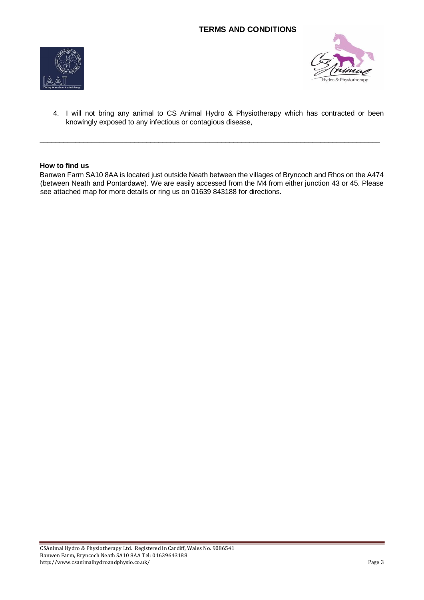



4. I will not bring any animal to CS Animal Hydro & Physiotherapy which has contracted or been knowingly exposed to any infectious or contagious disease,

## **How to find us**

Banwen Farm SA10 8AA is located just outside Neath between the villages of Bryncoch and Rhos on the A474 (between Neath and Pontardawe). We are easily accessed from the M4 from either junction 43 or 45. Please see attached map for more details or ring us on 01639 843188 for directions.

 $\_$  ,  $\_$  ,  $\_$  ,  $\_$  ,  $\_$  ,  $\_$  ,  $\_$  ,  $\_$  ,  $\_$  ,  $\_$  ,  $\_$  ,  $\_$  ,  $\_$  ,  $\_$  ,  $\_$  ,  $\_$  ,  $\_$  ,  $\_$  ,  $\_$  ,  $\_$  ,  $\_$  ,  $\_$  ,  $\_$  ,  $\_$  ,  $\_$  ,  $\_$  ,  $\_$  ,  $\_$  ,  $\_$  ,  $\_$  ,  $\_$  ,  $\_$  ,  $\_$  ,  $\_$  ,  $\_$  ,  $\_$  ,  $\_$  ,